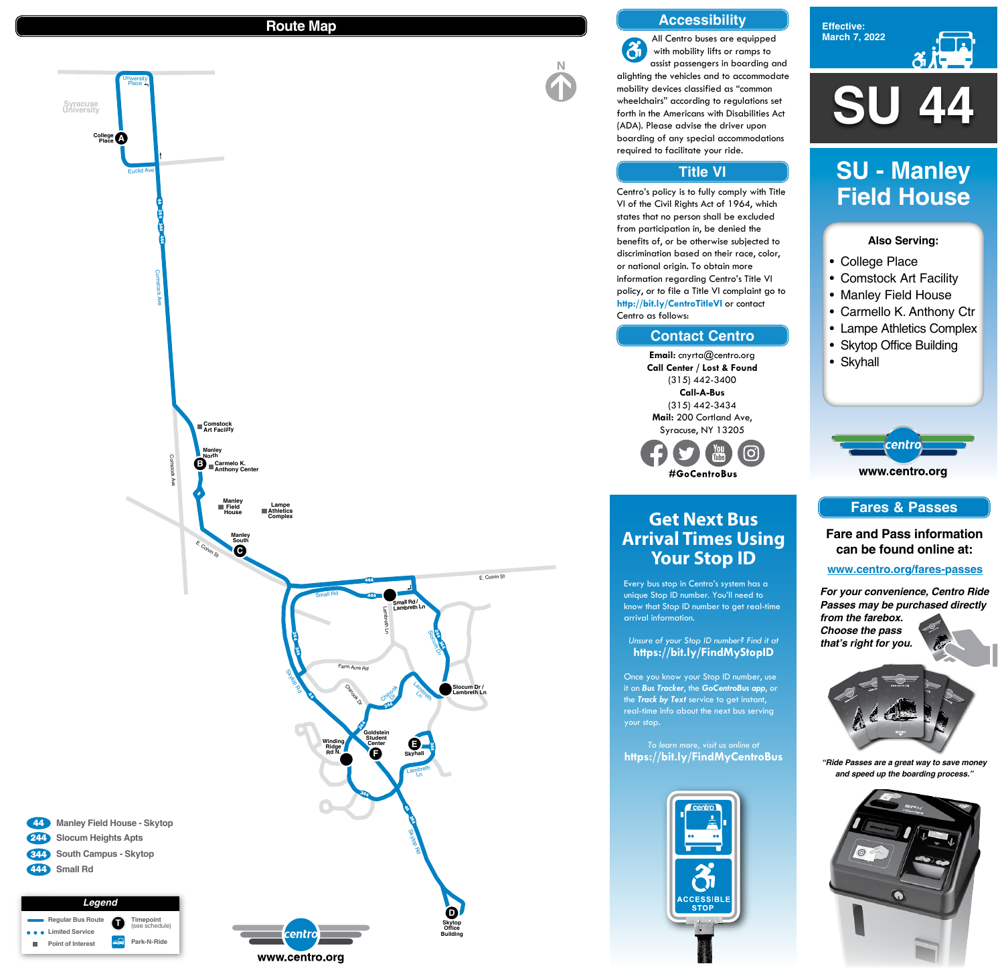**SU 44**

**Effective: March 7, 2022**



## **Also Serving:**

- College Place
- Comstock Art Facility
- Manley Field House
- Carmello K. Anthony Ctr
- Lampe Athletics Complex
- Skytop Office Building
- Skyhall

www.centro.org

centro

# **SU - Manley Field House**

# **Get Next Bus Arrival Times Using Your Stop ID**

Every bus stop in Centro's system has a unique Stop ID number. You'll need to know that Stop ID number to get real-time arrival information.

*Unsure of your Stop ID number? Find it at* **https://bit.ly/FindMyStopID**

Once you know your Stop ID number, use it on *Bus Tracker*, the *GoCentroBus app*, or the *Track by Text* service to get instant, real-time info about the next bus serving your stop.

*To learn more, visit us online at* **https://bit.ly/FindMyCentroBus**



 $\mathbf{\hat{a}}$ with mobility lifts or ramps to alighting the vehicles and to accommodate mobility devices classified as "common wheelchairs" according to regulations set forth in the Americans with Disabilities Act (ADA). Please advise the driver upon boarding of any special accommodations



## **Route Map**

## **Accessibility**

## **Contact Centro**

## **Title VI**

All Centro buses are equipped assist passengers in boarding and required to facilitate your ride.



Centro's policy is to fully comply with Title VI of the Civil Rights Act of 1964, which states that no person shall be excluded from participation in, be denied the benefits of, or be otherwise subjected to discrimination based on their race, color, or national origin. To obtain more information regarding Centro's Title VI policy, or to file a Title VI complaint go to **http://bit.ly/CentroTitleVI** or contact Centro as follows:

> **Email:** cnyrta@centro.org **Call Center / Lost & Found** (315) 442-3400 **Call-A-Bus** (315) 442-3434 **Mail:** 200 Cortland Ave, Syracuse, NY 13205



## **Fares & Passes**

**Fare and Pass information can be found online at:**

**www.centro.org/fares-passes**

*"Ride Passes are a great way to save money and speed up the boarding process."*



*For your convenience, Centro Ride Passes may be purchased directly from the farebox. Choose the pass that's right for you.*

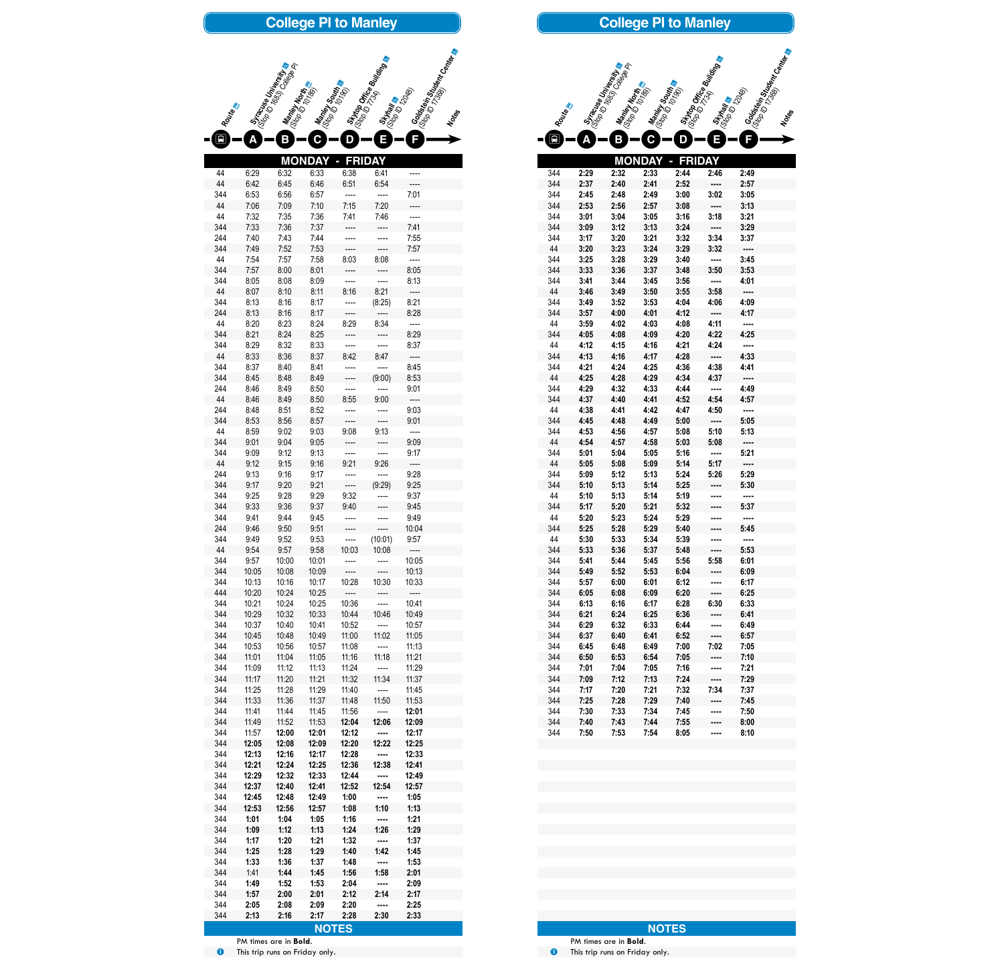|            |                | Stractore University |                      |                                   |                                                  | <b>Soldstein Student Center</b>  |  |
|------------|----------------|----------------------|----------------------|-----------------------------------|--------------------------------------------------|----------------------------------|--|
|            |                |                      |                      |                                   | Stytop Office Bullary                            |                                  |  |
|            |                |                      |                      |                                   |                                                  |                                  |  |
| Routes     |                | <b>Maniey North</b>  | <b>Maney Sours</b>   |                                   | Strinaries                                       |                                  |  |
|            |                |                      |                      |                                   |                                                  |                                  |  |
|            |                | $\mathbf B$          | C                    | $\mathbf D$                       | E                                                |                                  |  |
| 44         | 6:29           | MON<br>6:32          | DAY<br>6:33          | FRI<br>6:38                       | DAY<br>6:41                                      |                                  |  |
| 44         | 6:42           | 6:45                 | 6:46                 | 6:51                              | 6:54                                             |                                  |  |
| 344<br>44  | 6:53<br>7:06   | 6:56<br>7:09         | 6:57<br>7:10         | 7:15                              | <br>7:20                                         | 7:01                             |  |
| 44         | 7:32           | 7:35                 | 7:36                 | 7:41                              | 7:46                                             |                                  |  |
| 344<br>244 | 7:33<br>7:40   | 7:36<br>7:43         | 7:37<br>7:44         |                                   |                                                  | 7:41<br>7:55                     |  |
| 344        | 7:49           | 7:52                 | 7:53                 |                                   |                                                  | 7:57                             |  |
| 44<br>344  | 7:54<br>7:57   | 7:57<br>8:00         | 7:58<br>8:01         | 8:03                              | 8:08                                             | 8:05                             |  |
| 344        | 8:05           | 8:08                 | 8:09                 |                                   |                                                  | 8:13                             |  |
| 44<br>344  | 8:07<br>8:13   | 8:10<br>8:16         | 8:11<br>8:17         | 8:16                              | 8:21<br>(8:25)                                   | 8:21                             |  |
| 244        | 8:13           | 8:16                 | 8:17                 |                                   |                                                  | 8:28                             |  |
| 44<br>344  | 8:20<br>8:21   | 8:23<br>8:24         | 8:24<br>8:25         | 8:29                              | 8:34                                             | 8:29                             |  |
| 344        | 8:29           | 8:32                 | 8:33                 |                                   |                                                  | 8:37                             |  |
| 44<br>344  | 8:33<br>8:37   | 8:36<br>8:40         | 8:37<br>8:41         | 8:42                              | 8:47                                             | 8:45                             |  |
| 344        | 8:45           | 8:48                 | 8:49                 |                                   | (9:00)                                           | 8:53                             |  |
| 244<br>44  | 8:46           | 8:49                 | 8:50                 | 8:55                              |                                                  | 9:01                             |  |
| 244        | 8:46<br>8:48   | 8:49<br>8:51         | 8:50<br>8:52         |                                   | 9:00                                             | 9:03                             |  |
| 344        | 8:53           | 8:56                 | 8:57                 |                                   | ----                                             | 9:01                             |  |
| 44<br>344  | 8:59<br>9:01   | 9:02<br>9:04         | 9:03<br>9:05         | 9:08<br>----                      | 9:13<br>----                                     | 9:09                             |  |
| 344        | 9:09           | 9:12                 | 9:13                 | ----                              | ----                                             | 9:17                             |  |
| 44<br>244  | 9:12<br>9:13   | 9:15<br>9:16         | 9:16<br>9:17         | 9:21<br>----                      | 9:26<br>----                                     | $\overline{\phantom{a}}$<br>9:28 |  |
| 344        | 9:17           | 9:20                 | 9:21                 | $\overline{\phantom{a}}$          | (9:29)                                           | 9:25                             |  |
| 344<br>344 | 9:25<br>9:33   | 9:28<br>9:36         | 9:29<br>9:37         | 9:32<br>9:40                      | $\overline{\phantom{a}}$                         | 9:37<br>9:45                     |  |
| 344        | 9:41           | 9:44                 | 9:45                 | $\overline{a}$                    | ----                                             | 9:49                             |  |
| 244<br>344 | 9:46<br>9:49   | 9:50<br>9:52         | 9:51<br>9:53         | ----<br>$\overline{\phantom{a}}$  | ----<br>(10:01)                                  | 10:04<br>9:57                    |  |
| 44         | 9:54           | 9:57                 | 9:58                 | 10:03                             | 10:08                                            | $\frac{1}{2}$                    |  |
| 344<br>344 | 9:57<br>10:05  | 10:00<br>10:08       | 10:01<br>10:09       | ----<br>----                      |                                                  | 10:05<br>10:13                   |  |
| 344        | 10:13          | 10:16                | 10:17                | 10:28                             | 10:30                                            | 10:33                            |  |
| 444<br>344 | 10:20<br>10:21 | 10:24<br>10:24       | 10:25<br>10:25       | $\overline{\phantom{a}}$<br>10:36 | $\hspace{0.1em} \ldots \hspace{0.1em}$<br>$\sim$ | $---$<br>10:41                   |  |
| 344        | 10:29          | 10:32                | 10:33                | 10:44                             | 10:46                                            | 10:49                            |  |
| 344<br>344 | 10:37<br>10:45 | 10:40<br>10:48       | 10:41<br>10:49       | 10:52<br>11:00                    | $\sim$ $\sim$ $\sim$ $\sim$<br>11:02             | 10:57<br>11:05                   |  |
| 344        | 10:53          | 10:56                | 10:57                | 11:08                             | $\frac{1}{2}$                                    | 11:13                            |  |
| 344<br>344 | 11:01<br>11:09 | 11:04<br>11:12       | 11:05<br>11:13       | 11:16<br>11:24                    | 11:18<br>$\overline{a}$                          | 11:21<br>11:29                   |  |
| 344        | 11:17          | 11:20                | 11:21                | 11:32                             | 11:34                                            | 11:37                            |  |
| 344<br>344 | 11:25<br>11:33 | 11:28<br>11:36       | 11:29<br>11:37       | 11:40<br>11:48                    | $\sim$ $\sim$ $\sim$<br>11:50                    | 11:45<br>11:53                   |  |
| 344        | 11:41          | 11:44                | 11:45                | 11:56                             | $\frac{1}{2}$                                    | 12:01                            |  |
| 344<br>344 | 11:49<br>11:57 | 11:52<br>12:00       | 11:53<br>12:01       | 12:04<br>12:12                    | 12:06<br>----                                    | 12:09<br>12:17                   |  |
| 344        | 12:05          | 12:08                | 12:09                | 12:20                             | 12:22                                            | 12:25                            |  |
| 344<br>344 | 12:13<br>12:21 | 12:16<br>12:24       | 12:17<br>12:25       | 12:28<br>12:36                    | $\cdots$<br>12:38                                | 12:33<br>12:41                   |  |
| 344        | 12:29          | 12:32                | 12:33                | 12:44                             |                                                  | 12:49                            |  |
| 344<br>344 | 12:37<br>12:45 | 12:40<br>12:48       | 12:41<br>12:49       | 12:52<br>1:00                     | 12:54<br>----                                    | 12:57<br>1:05                    |  |
| 344        | 12:53          | 12:56                | 12:57                | 1:08                              | 1:10                                             | 1:13                             |  |
| 344<br>344 | 1:01<br>1:09   | 1:04<br>1:12         | 1:05<br>1:13         | 1:16<br>1:24                      | ----<br>1:26                                     | 1:21<br>1:29                     |  |
| 344        | 1:17           | 1:20                 | 1:21                 | 1:32                              | ----                                             | 1:37                             |  |
| 344<br>344 | 1:25<br>1:33   | 1:28<br>1:36         | 1:29<br>1:37         | 1:40<br>1:48                      | 1:42                                             | 1:45<br>1:53                     |  |
| 344        | 1:41           | 1:44                 | 1:45                 | 1:56                              | 1:58                                             | 2:01                             |  |
| 344<br>344 | 1:49<br>1:57   | 1:52<br>2:00         | 1:53<br>2:01         | 2:04<br>2:12                      | ----<br>2:14                                     | 2:09<br>2:17                     |  |
| 344        | 2:05           | 2:08                 | 2:09                 | 2:20                              | ----                                             | 2:25                             |  |
| 344        | 2:13           | 2:16                 | 2:17<br><b>NOTES</b> | 2:28                              | 2:30                                             | 2:33                             |  |

PM times are in **Bold**. **O** This trip runs on Friday only.

PM times are in **Bold**. **O** This trip runs on Friday only.

# **College Pl to Manley**

|            |              |                                       | <b>College PI to Manley</b> |                    |                        |                           |
|------------|--------------|---------------------------------------|-----------------------------|--------------------|------------------------|---------------------------|
|            |              | Stracture Unite Sity                  |                             |                    | Stripo Office Britaing | Goldstein Stranger Center |
|            |              |                                       |                             |                    |                        |                           |
|            |              | <b>Maniey North</b><br>IStop 10-Morth | <b>Maney South &amp;</b>    |                    | Strian &               |                           |
| Routes     |              |                                       |                             |                    |                        |                           |
|            |              |                                       |                             |                    |                        |                           |
|            | Δ            | $\boldsymbol{\mathsf B}$              | С                           | D                  | Ε                      |                           |
|            |              |                                       | <b>MONDAY</b>               | <b>FRIDAY</b><br>П |                        |                           |
| 344        | 2:29         | 2:32                                  | 2:33                        | 2:44               | 2:46                   | 2:49                      |
| 344<br>344 | 2:37<br>2:45 | 2:40<br>2:48                          | 2:41<br>2:49                | 2:52<br>3:00       |                        | 2:57<br>3:05              |
| 344        | 2:53         | 2:56                                  | 2:57                        | 3:08               | 3:02                   | 3:13                      |
| 344        | 3:01         | 3:04                                  | 3:05                        | 3:16               | 3:18                   | 3:21                      |
| 344        | 3:09         | 3:12                                  | 3:13                        | 3:24               |                        | 3:29                      |
| 344        | 3:17         | 3:20                                  | 3:21                        | 3:32               | 3:34                   | 3:37                      |
| 44         | 3:20         | 3:23                                  | 3:24                        | 3:29               | 3:32                   |                           |
| 344        | 3:25         | 3:28                                  | 3:29                        | 3:40               |                        | 3:45                      |
| 344        | 3:33         | 3:36                                  | 3:37                        | 3:48               | 3:50                   | 3:53                      |
| 344<br>44  | 3:41<br>3:46 | 3:44<br>3:49                          | 3:45<br>3:50                | 3:56<br>3:55       | 3:58                   | 4:01                      |
| 344        | 3:49         | 3:52                                  | 3:53                        | 4:04               | 4:06                   | 4:09                      |
| 344        | 3:57         | 4:00                                  | 4:01                        | 4:12               |                        | 4:17                      |
| 44         | 3:59         | 4:02                                  | 4:03                        | 4:08               | 4:11                   |                           |
| 344        | 4:05         | 4:08                                  | 4:09                        | 4:20               | 4:22                   | 4.25                      |
| 44         | 4:12         | 4:15                                  | 4:16                        | 4:21               | 4.24                   |                           |
| 344        | 4:13         | 4:16                                  | 4:17                        | 4:28               |                        | 4:33                      |
| 344        | 4.21         | 4:24                                  | 4:25                        | 4:36               | 4:38                   | 4:41                      |
| 44<br>344  | 4.25<br>4:29 | 4:28<br>4:32                          | 4.29<br>4:33                | 4:34<br>4:44       | 4:37<br>----           | <br>4:49                  |
| 344        | 4:37         | 4:40                                  | 4:41                        | 4:52               | 4:54                   | 4:57                      |
| 44         | 4:38         | 4:41                                  | 4:42                        | 4:47               | 4:50                   |                           |
| 344        | 4.45         | 4:48                                  | 4:49                        | 5:00               | ----                   | 5:05                      |
| 344        | 4:53         | 4:56                                  | 4:57                        | 5:08               | 5:10                   | 5:13                      |
| 44         | 4:54         | 4:57                                  | 4:58                        | 5:03               | 5:08                   | ----                      |
| 344        | 5:01         | 5:04                                  | 5:05                        | 5:16               |                        | 5:21                      |
| 44<br>344  | 5:05         | 5:08                                  | 5:09                        | 5:14               | 5:17                   | <br>5:29                  |
| 344        | 5:09<br>5:10 | 5:12<br>5:13                          | 5:13<br>5:14                | 5:24<br>5:25       | 5:26<br>$\cdots$       | 5:30                      |
| 44         | 5:10         | 5:13                                  | 5:14                        | 5:19               |                        |                           |
| 344        | 5:17         | 5:20                                  | 5:21                        | 5:32               |                        | 5:37                      |
| 44         | 5:20         | 5:23                                  | 5:24                        | 5:29               | ----                   | ----                      |
| 344        | 5:25         | 5:28                                  | 5:29                        | 5:40               |                        | 5:45                      |
| 44         | 5:30         | 5:33                                  | 5:34                        | 5:39               |                        |                           |
| 344        | 5:33         | 5:36                                  | 5:37                        | 5:48               |                        | 5:53                      |
| 344<br>344 | 5:41<br>5:49 | 5:44<br>5:52                          | 5:45<br>5:53                | 5:56<br>6:04       | 5:58<br>               | 6:01<br>6:09              |
| 344        | 5:57         | 6:00                                  | 6:01                        | 6:12               |                        | 6:17                      |
| 344        | 6:05         | 6:08                                  | 6:09                        | 6:20               |                        | 6:25                      |
| 344        | 6:13         | 6:16                                  | 6:17                        | 6:28               | 6:30                   | 6:33                      |
| 344        | 6:21         | 6:24                                  | 6:25                        | 6:36               |                        | 6:41                      |
| 344        | 6:29         | 6:32                                  | 6:33                        | 6:44               |                        | 6:49                      |
| 344        | 6:37         | 6:40                                  | 6:41                        | 6:52               |                        | 6:57                      |
| 344        | 6:45         | 6:48                                  | 6:49                        | 7:00               | 7:02                   | 7:05                      |
| 344<br>344 | 6:50<br>7:01 | 6:53<br>7:04                          | 6:54<br>7:05                | 7:05<br>7:16       | <br>                   | 7:10<br>7:21              |
| 344        | 7:09         | 7:12                                  | 7:13                        | 7:24               |                        | 7:29                      |
| 344        | 7:17         | 7:20                                  | 7:21                        | 7:32               | 7:34                   | 7:37                      |
| 344        | 7:25         | 7:28                                  | 7:29                        | 7:40               |                        | 7:45                      |
| 344        | 7:30         | 7:33                                  | 7:34                        | 7:45               |                        | 7:50                      |
| 344        | 7:40         | 7:43                                  | 7:44                        | 7:55               |                        | 8:00                      |
| 344        | 7:50         | 7:53                                  | 7:54                        | 8:05               |                        | 8:10                      |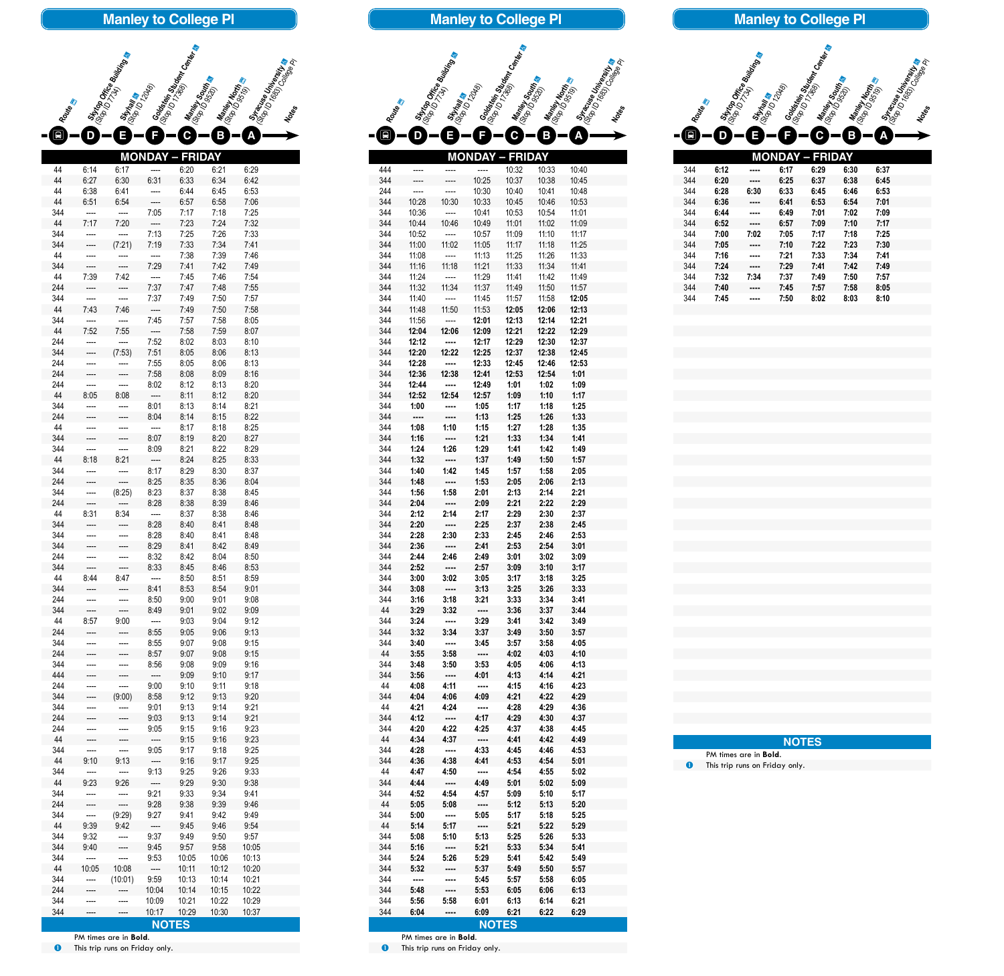**MONDAY – FRIDAY**

Manley South a

44 6:14 6:17 ---- 6:20 6:21 6:29 44 6:27 6:30 6:31 6:33 6:34 6:42 44 6:38 6:41 ---- 6:44 6:45 6:53 44 6:51 6:54 ---- 6:57 6:58 7:06 344 ---- ---- 7:05 7:17 7:18 7:25 44 7:17 7:20 ---- 7:23 7:24 7:32 344 ---- ---- 7:13 7:25 7:26 7:33 344 ---- (7:21) 7:19 7:33 7:34 7:41 44 ---- ---- ---- 7:38 7:39 7:46 344 ---- ---- 7:29 7:41 7:42 7:49 44 7:39 7:42 ---- 7:45 7:46 7:54 244 ---- ---- 7:37 7:47 7:48 7:55 344 ---- ---- 7:37 7:49 7:50 7:57 44 7:43 7:46 ---- 7:49 7:50 7:58 344 ---- ---- 7:45 7:57 7:58 8:05 44 7:52 7:55 ---- 7:58 7:59 8:07 244 ---- ---- 7:52 8:02 8:03 8:10 344 ---- (7:53) 7:51 8:05 8:06 8:13 244 ---- ---- 7:55 8:05 8:06 8:13 244 ---- ---- 7:58 8:08 8:09 8:16 244 ---- ---- 8:02 8:12 8:13 8:20 44 8:05 8:08 ---- 8:11 8:12 8:20 344 ---- ---- 8:01 8:13 8:14 8:21 244 ---- ---- 8:04 8:14 8:15 8:22 44 ---- ---- ---- 8:17 8:18 8:25 344 ---- ---- 8:07 8:19 8:20 8:27 344 ---- ---- 8:09 8:21 8:22 8:29 44 8:18 8:21 ---- 8:24 8:25 8:33 344 ---- ---- 8:17 8:29 8:30 8:37 244 ---- ---- 8:25 8:35 8:36 8:04 344 ---- (8:25) 8:23 8:37 8:38 8:45 244 ---- ---- 8:28 8:38 8:39 8:46 44 8:31 8:34 ---- 8:37 8:38 8:46 344 ---- ---- 8:28 8:40 8:41 8:48 344 ---- ---- 8:28 8:40 8:41 8:48 344 ---- ---- 8:29 8:41 8:42 8:49 244 ---- ---- 8:32 8:42 8:04 8:50 344 ---- ---- 8:33 8:45 8:46 8:53 44 8:44 8:47 ---- 8:50 8:51 8:59 344 ---- ---- 8:41 8:53 8:54 9:01 244 ---- ---- 8:50 9:00 9:01 9:08 344 ---- ---- 8:49 9:01 9:02 9:09 44 8:57 9:00 ---- 9:03 9:04 9:12 244 ---- ---- 8:55 9:05 9:06 9:13 344 ---- ---- 8:55 9:07 9:08 9:15 244 ---- ---- 8:57 9:07 9:08 9:15 344 ---- ---- 8:56 9:08 9:09 9:16 444 ---- ---- ---- 9:09 9:10 9:17 244 ---- ---- 9:00 9:10 9:11 9:18 344 ---- (9:00) 8:58 9:12 9:13 9:20 344 ---- ---- 9:01 9:13 9:14 9:21 244 ---- ---- 9:03 9:13 9:14 9:21 244 ---- ---- 9:05 9:15 9:16 9:23 44 ---- ---- ---- 9:15 9:16 9:23 344 ---- ---- 9:05 9:17 9:18 9:25 44 9:10 9:13 ---- 9:16 9:17 9:25 344 ---- ---- 9:13 9:25 9:26 9:33 44 9:23 9:26 ---- 9:29 9:30 9:38 344 ---- ---- 9:21 9:33 9:34 9:41 244 ---- ---- 9:28 9:38 9:39 9:46 344 ---- (9:29) 9:27 9:41 9:42 9:49 44 9:39 9:42 ---- 9:45 9:46 9:54 344 9:32 ---- 9:37 9:49 9:50 9:57 344 9:40 ---- 9:45 9:57 9:58 10:05 344 ---- ---- 9:53 10:05 10:06 10:13 44 10:05 10:08 ---- 10:11 10:12 10:20 344 ---- (10:01) 9:59 10:13 10:14 10:21 244 ---- ---- 10:04 10:14 10:15 10:22 344 ---- ---- 10:09 10:21 10:22 10:29 344 ---- ---- 10:17 10:29 10:30 10:37

**Skytop Office Building The Company of The Company of The Company of The Company of The Company of The Company of The Company of The Company of The Company of The Company of The Company of The Company of The Company of The** 

**Manley to College Pl**

**Goldstein**<br>(Stop ID 541 **Student Center**<br>(Strater c.

**Route** a

 $-\bullet$ 

state Stop Indian Strategy Strategy Strategy Strategy Strategy Strategy Strategy Strategy Strategy Strategy Str<br>Contractor Strategy Strategy Strategy Strategy Strategy Strategy Strategy Strategy Strategy Strategy Strategy

**B A**

**Stracuse University**<br>(Stop ID 1683) Tersity<br>Motes

PM times are in **Bold**. **O** This trip runs on Friday only.

| Routes     |                       | Stripp Office Building<br>Strinaria |                              | Solotein<br>(Sig.10ein.91treen.com<br>I (Stanley Sour) | I Maniey North | ISTRONG United States |  |
|------------|-----------------------|-------------------------------------|------------------------------|--------------------------------------------------------|----------------|-----------------------|--|
|            |                       | E                                   |                              | $\mathbf C$                                            | B              |                       |  |
|            |                       |                                     | MONDA                        | <b>FRIDAY</b>                                          |                |                       |  |
| 444        |                       |                                     |                              | 10:32                                                  | 10:33          | 10:40                 |  |
| 344        |                       |                                     | 10:25                        | 10:37                                                  | 10:38          | 10:45                 |  |
| 244<br>344 | 10:28                 | 10:30                               | 10:30<br>10:33               | 10:40<br>10:45                                         | 10:41<br>10:46 | 10:48<br>10:53        |  |
| 344        | 10:36                 |                                     | 10:41                        | 10:53                                                  | 10:54          | 11:01                 |  |
| 344<br>344 | 10:44<br>10:52        | 10:46                               | 10:49<br>10:57               | 11:01<br>11:09                                         | 11:02<br>11:10 | 11:09<br>11:17        |  |
| 344        | 11:00                 | 11:02                               | 11:05                        | 11:17                                                  | 11:18          | 11:25                 |  |
| 344<br>344 | 11:08<br>11:16        | 11:18                               | 11:13<br>11:21               | 11:25<br>11:33                                         | 11:26<br>11:34 | 11:33<br>11:41        |  |
| 344        | 11:24                 |                                     | 11:29                        | 11:41                                                  | 11:42          | 11:49                 |  |
| 344        | 11:32                 | 11:34                               | 11:37                        | 11:49                                                  | 11:50          | 11:57                 |  |
| 344<br>344 | 11:40<br>11:48        | 11:50                               | 11:45<br>11:53               | 11:57<br>12:05                                         | 11:58<br>12:06 | 12:05<br>12:13        |  |
| 344        | 11:56                 |                                     | 12:01                        | 12:13                                                  | 12:14          | 12:21                 |  |
| 344<br>344 | 12:04                 | 12:06                               | 12:09                        | 12:21                                                  | 12:22          | 12:29<br>12:37        |  |
| 344        | 12:12<br>12:20        | 12:22                               | 12:17<br>12:25               | 12:29<br>12:37                                         | 12:30<br>12:38 | 12:45                 |  |
| 344        | 12:28                 |                                     | 12:33                        | 12:45                                                  | 12:46          | 12:53                 |  |
| 344<br>344 | 12:36<br>12:44        | 12:38                               | 12:41<br>12:49               | 12:53<br>1:01                                          | 12:54<br>1:02  | 1:01<br>1:09          |  |
| 344        | 12:52                 | 12:54                               | 12:57                        | 1:09                                                   | 1:10           | 1:17                  |  |
| 344<br>344 | 1:00<br>----          |                                     | 1:05                         | 1:17                                                   | 1:18<br>1:26   | 1:25<br>1:33          |  |
| 344        | 1:08                  | <br>1:10                            | 1:13<br>1:15                 | 1:25<br>1:27                                           | 1:28           | 1:35                  |  |
| 344        | 1:16                  | $\cdots$                            | 1:21                         | 1:33                                                   | 1:34           | 1:41                  |  |
| 344<br>344 | 1:24<br>1:32          | 1:26<br>$\overline{\phantom{a}}$    | 1:29<br>1:37                 | 1:41<br>1:49                                           | 1:42<br>1:50   | 1:49<br>1:57          |  |
| 344        | 1:40                  | 1:42                                | 1:45                         | 1:57                                                   | 1:58           | 2:05                  |  |
| 344<br>344 | 1:48<br>1:56          | $\overline{\phantom{a}}$<br>1:58    | 1:53                         | 2:05                                                   | 2:06           | 2:13<br>2:21          |  |
| 344        | 2:04                  | $\overline{\phantom{a}}$            | 2:01<br>2:09                 | 2:13<br>2:21                                           | 2:14<br>2:22   | 2:29                  |  |
| 344        | 2:12                  | 2:14                                | 2:17                         | 2:29                                                   | 2:30           | 2:37                  |  |
| 344<br>344 | 2:20<br>2:28          | $\cdots$<br>2:30                    | 2:25<br>2:33                 | 2:37<br>2:45                                           | 2:38<br>2:46   | 2:45<br>2:53          |  |
| 344        | 2:36                  | $\sim$                              | 2:41                         | 2:53                                                   | 2:54           | 3:01                  |  |
| 344<br>344 | 2:44<br>2:52          | 2:46<br>$\cdots$                    | 2:49<br>2:57                 | 3:01<br>3:09                                           | 3:02<br>3:10   | 3:09<br>3:17          |  |
| 344        | 3:00                  | 3:02                                | 3:05                         | 3:17                                                   | 3:18           | 3:25                  |  |
| 344        | 3:08                  | $\sim$                              | 3:13                         | 3:25                                                   | 3:26           | 3:33                  |  |
| 344<br>44  | 3:16<br>3:29          | 3:18<br>3:32                        | 3:21<br>$\sim$               | 3:33<br>3:36                                           | 3:34<br>3:37   | 3:41<br>3:44          |  |
| 344        | 3:24                  | $\overline{\phantom{a}}$            | 3:29                         | 3:41                                                   | 3:42           | 3:49                  |  |
| 344<br>344 | 3:32<br>3:40          | 3:34<br>$\overline{\phantom{a}}$    | 3:37<br>3:45                 | 3:49<br>3:57                                           | 3:50<br>3:58   | 3:57<br>4:05          |  |
| 44         | 3:55                  | 3:58                                | $\sim$                       | 4:02                                                   | 4:03           | 4:10                  |  |
| 344<br>344 | 3:48<br>3:56          | 3:50<br>$\sim$ $\sim$ $\sim$        | 3:53<br>4:01                 | 4:05<br>4:13                                           | 4:06<br>4:14   | 4:13<br>4:21          |  |
| 44         | 4:08                  | 4:11                                | $\sim$                       | 4:15                                                   | 4:16           | 4:23                  |  |
| 344        | 4:04                  | 4:06                                | 4:09                         | 4:21                                                   | 4:22           | 4:29                  |  |
| 44<br>344  | 4:21<br>4:12          | $\sim$ 1000                         | 4:24 ----<br>4:17            | 4:28<br>4:29                                           | 4:29<br>4:30   | 4:36<br>4:37          |  |
| 344        | 4:20                  | 4:22                                | 4:25                         | 4:37                                                   | 4:38           | 4:45                  |  |
| 44<br>344  | 4:34<br>4:28          | 4:37<br><b></b>                     | $\sim$ $\sim$ $\sim$<br>4:33 | 4:41<br>4:45                                           | 4:42<br>4:46   | 4.49<br>4:53          |  |
| 344        | 4:36                  | 4:38                                | 4:41                         | 4:53                                                   | 4:54           | 5:01                  |  |
| 44<br>344  | 4:47                  | 4:50                                | <br>4:49                     | 4:54<br>5:01                                           | 4:55<br>5:02   | 5:02                  |  |
| 344        | 4:44<br>4:52          | $\cdots$<br>4:54                    | 4:57                         | 5:09                                                   | 5:10           | 5:09<br>5:17          |  |
| 44         | 5:05                  | 5:08                                | ----                         | 5:12                                                   | 5:13           | 5:20                  |  |
| 344<br>44  | 5:00<br>5:14          | $\cdots$<br>5:17                    | 5:05<br>                     | 5:17<br>5:21                                           | 5:18<br>5:22   | 5:25<br>5:29          |  |
| 344        | 5:08                  | 5:10                                | 5:13                         | 5:25                                                   | 5:26           | 5:33                  |  |
| 344<br>344 | 5:16<br>5:24          | <br>5:26                            | 5:21<br>5:29                 | 5:33<br>5:41                                           | 5:34<br>5:42   | 5:41<br>5:49          |  |
| 344        | 5:32                  | ----                                | 5:37                         | 5:49                                                   | 5:50           | 5:57                  |  |
| 344        |                       | ----                                | 5:45                         | 5:57                                                   | 5:58           | 6:05                  |  |
| 344<br>344 | 5:48<br>5:56          | <br>5:58                            | 5:53<br>6:01                 | 6:05<br>6:13                                           | 6:06<br>6:14   | 6:13<br>6:21          |  |
| 344        | 6:04                  | ----                                | 6:09                         | 6:21                                                   | 6:22           | 6:29                  |  |
|            | PM times are in Bold. |                                     |                              | <b>NOTES</b>                                           |                |                       |  |

**O** This trip runs on Friday only.

| <b>Manley to College PI</b> |  |  |
|-----------------------------|--|--|
|-----------------------------|--|--|

| MONDAY – FRIDAY |      |      |      |      |      |      |  |  |  |  |
|-----------------|------|------|------|------|------|------|--|--|--|--|
| 344             | 6:12 | ---- | 6:17 | 6:29 | 6:30 | 6:37 |  |  |  |  |
| 344             | 6:20 | ---- | 6:25 | 6:37 | 6:38 | 6:45 |  |  |  |  |
| 344             | 6:28 | 6:30 | 6:33 | 6:45 | 6:46 | 6:53 |  |  |  |  |
| 344             | 6:36 | ---- | 6:41 | 6:53 | 6:54 | 7:01 |  |  |  |  |
| 344             | 6:44 | ---- | 6:49 | 7:01 | 7:02 | 7:09 |  |  |  |  |
| 344             | 6:52 |      | 6:57 | 7:09 | 7:10 | 7:17 |  |  |  |  |
| 344             | 7:00 | 7:02 | 7:05 | 7:17 | 7:18 | 7:25 |  |  |  |  |
| 344             | 7:05 | ---- | 7:10 | 7:22 | 7:23 | 7:30 |  |  |  |  |
| 344             | 7:16 |      | 7:21 | 7:33 | 7:34 | 7:41 |  |  |  |  |
| 344             | 7:24 | ---- | 7:29 | 7:41 | 7:42 | 7:49 |  |  |  |  |
| 344             | 7:32 | 7:34 | 7:37 | 7:49 | 7:50 | 7:57 |  |  |  |  |
| 344             | 7:40 |      | 7:45 | 7:57 | 7:58 | 8:05 |  |  |  |  |
| 344             | 7:45 | ---- | 7:50 | 8:02 | 8:03 | 8:10 |  |  |  |  |





## **NOTES**

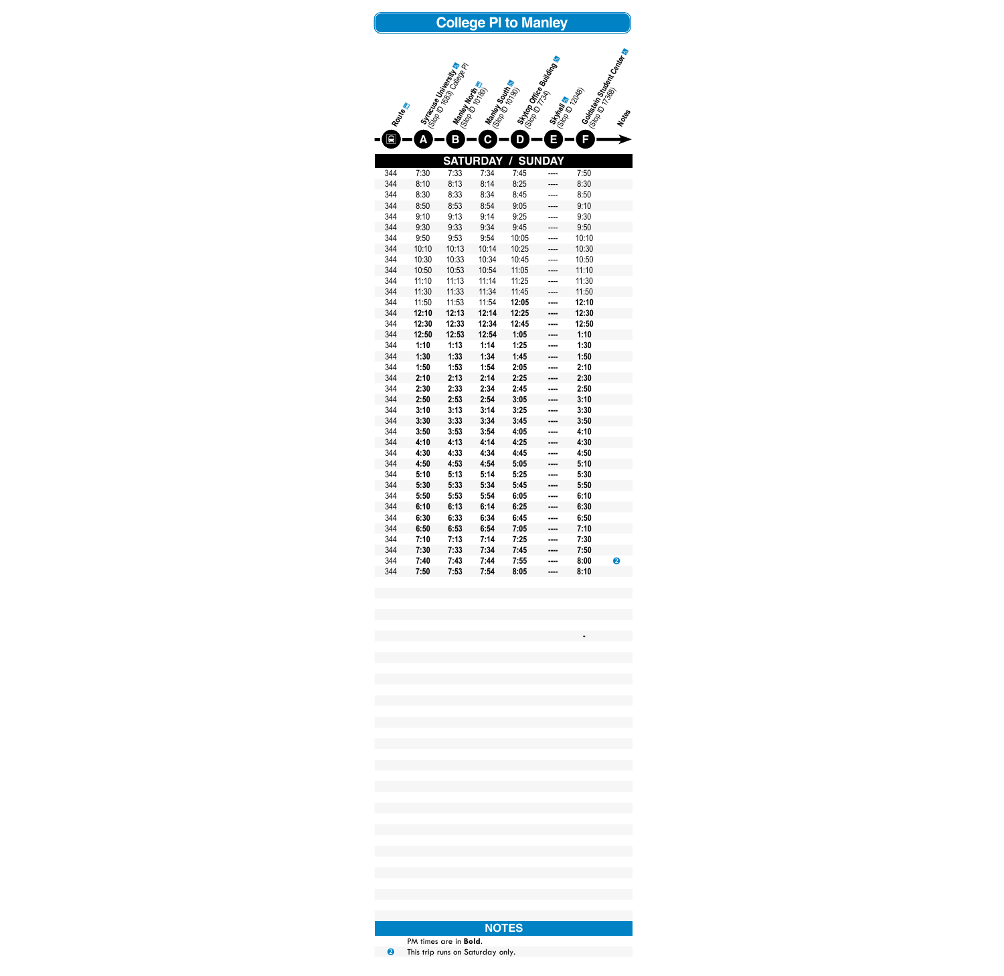|            |              |                                                  |                               | <b>College PI to Manley</b> |                                                                |              |                                   |
|------------|--------------|--------------------------------------------------|-------------------------------|-----------------------------|----------------------------------------------------------------|--------------|-----------------------------------|
| Routes     | Δ            | Stracture Unitersity<br><b>Mantey North</b><br>Β | <b>Maney South &amp;</b><br>C | D                           | Stytop Office Bullary<br>Stynania<br><sup>Gob</sup> o D12<br>П | F            | <b>Sortistein Stranger Center</b> |
|            |              |                                                  | <b>SATURDAY</b>               |                             | <b>SUNDAY</b>                                                  |              |                                   |
| 344        | 7:30         | 7:33                                             | 7:34                          | 7:45                        |                                                                | 7:50         |                                   |
| 344        | 8:10         | 8:13                                             | 8:14                          | 8:25                        |                                                                | 8:30         |                                   |
| 344        | 8:30         | 8:33                                             | 8:34                          | 8:45                        |                                                                | 8:50         |                                   |
| 344        | 8:50         | 8:53                                             | 8:54                          | 9:05                        |                                                                | 9:10         |                                   |
| 344        | 9:10         | 9:13                                             | 9:14                          | 9:25                        |                                                                | 9:30         |                                   |
| 344        | 9:30         | 9:33                                             | 9:34                          | 9:45                        |                                                                | 9:50         |                                   |
| 344        | 9:50         | 9:53                                             | 9:54                          | 10:05                       |                                                                | 10:10        |                                   |
| 344        | 10:10        | 10:13                                            | 10:14                         | 10:25                       |                                                                | 10:30        |                                   |
| 344        | 10:30        | 10:33                                            | 10:34                         | 10:45                       |                                                                | 10:50        |                                   |
| 344        | 10:50        | 10:53                                            | 10:54                         | 11:05                       |                                                                | 11:10        |                                   |
| 344        | 11:10        | 11:13                                            | 11:14                         | 11:25                       |                                                                | 11:30        |                                   |
| 344        | 11:30        | 11:33                                            | 11:34                         | 11:45                       |                                                                | 11:50        |                                   |
| 344        | 11:50        | 11:53                                            | 11:54                         | 12:05                       |                                                                | 12:10        |                                   |
| 344        | 12:10        | 12:13                                            | 12:14                         | 12:25                       |                                                                | 12:30        |                                   |
| 344        | 12:30        | 12:33                                            | 12:34                         | 12:45                       |                                                                | 12:50        |                                   |
| 344        | 12:50        | 12:53                                            | 12:54                         | 1:05                        |                                                                | 1:10         |                                   |
| 344        | 1:10         | 1:13                                             | 1:14                          | 1:25                        |                                                                | 1:30         |                                   |
| 344        | 1:30         | 1:33                                             | 1:34                          | 1:45                        |                                                                | 1:50         |                                   |
| 344        | 1:50         | 1:53                                             | 1:54                          | 2:05                        |                                                                | 2:10         |                                   |
| 344        | 2:10         | 2:13                                             | 2:14                          | 2:25                        |                                                                | 2:30         |                                   |
| 344        | 2:30         | 2:33                                             | 2:34                          | 2:45                        |                                                                | 2:50         |                                   |
| 344        | 2:50         | 2:53                                             | 2:54                          | 3:05                        |                                                                | 3:10         |                                   |
| 344        | 3:10         | 3:13                                             | 3:14                          | 3:25                        |                                                                | 3:30         |                                   |
| 344        | 3:30         | 3:33                                             | 3:34                          | 3:45                        |                                                                | 3:50         |                                   |
| 344        | 3:50         | 3:53                                             | 3:54                          | 4:05                        |                                                                | 4:10         |                                   |
| 344        | 4:10         | 4:13                                             | 4:14                          | 4:25                        |                                                                | 4:30         |                                   |
| 344        | 4:30         | 4:33                                             | 4:34                          | 4:45                        |                                                                | 4.50         |                                   |
| 344        | 4:50         | 4:53                                             | 4:54                          | 5:05                        |                                                                | 5:10         |                                   |
| 344        | 5:10         | 5:13                                             | 5:14                          | 5:25                        |                                                                | 5:30         |                                   |
| 344        | 5:30         | 5:33                                             | 5:34                          | 5:45                        |                                                                | 5:50         |                                   |
| 344        | 5:50         | 5:53                                             | 5:54                          | 6:05                        |                                                                | 6:10         |                                   |
| 344<br>344 | 6:10         | 6:13                                             | 6:14<br>6:34                  | 6:25                        |                                                                | 6:30<br>6:50 |                                   |
| 344        | 6:30<br>6:50 | 6:33<br>6:53                                     | 6:54                          | 6:45<br>7:05                |                                                                | 7:10         |                                   |
| 344        | 7:10         | 7:13                                             | 7:14                          | 7:25                        |                                                                | 7:30         |                                   |
| 344        | 7:30         | 7:33                                             | 7:34                          | 7:45                        |                                                                | 7:50         |                                   |
| 344        | 7:40         | 7:43                                             | 7:44                          | 7:55                        |                                                                | 8:00         | 2                                 |
| 344        | 7:50         | 7:53                                             | 7:54                          | 8:05                        |                                                                | 8:10         |                                   |
|            |              |                                                  |                               |                             |                                                                |              |                                   |

PM times are in **Bold**. This trip runs on Saturday only.

**-**